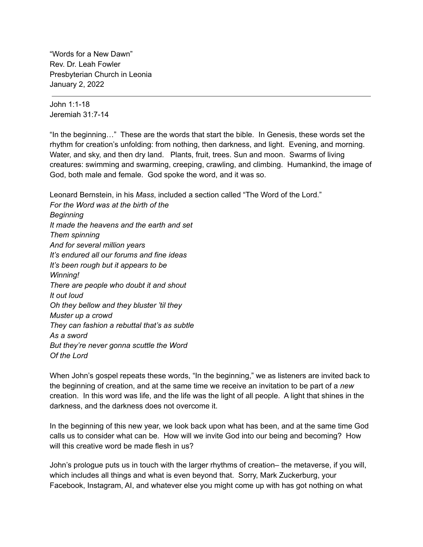"Words for a New Dawn" Rev. Dr. Leah Fowler Presbyterian Church in Leonia January 2, 2022

John 1:1-18 Jeremiah 31:7-14

"In the beginning…" These are the words that start the bible. In Genesis, these words set the rhythm for creation's unfolding: from nothing, then darkness, and light. Evening, and morning. Water, and sky, and then dry land. Plants, fruit, trees. Sun and moon. Swarms of living creatures: swimming and swarming, creeping, crawling, and climbing. Humankind, the image of God, both male and female. God spoke the word, and it was so.

Leonard Bernstein, in his *Mass*, included a section called "The Word of the Lord."

*For the Word was at the birth of the Beginning It made the heavens and the earth and set Them spinning And for several million years It's endured all our forums and fine ideas It's been rough but it appears to be Winning! There are people who doubt it and shout It out loud Oh they bellow and they bluster 'til they Muster up a crowd They can fashion a rebuttal that's as subtle As a sword But they're never gonna scuttle the Word Of the Lord*

When John's gospel repeats these words, "In the beginning," we as listeners are invited back to the beginning of creation, and at the same time we receive an invitation to be part of a *new* creation. In this word was life, and the life was the light of all people. A light that shines in the darkness, and the darkness does not overcome it.

In the beginning of this new year, we look back upon what has been, and at the same time God calls us to consider what can be. How will we invite God into our being and becoming? How will this creative word be made flesh in us?

John's prologue puts us in touch with the larger rhythms of creation– the metaverse, if you will, which includes all things and what is even beyond that. Sorry, Mark Zuckerburg, your Facebook, Instagram, AI, and whatever else you might come up with has got nothing on what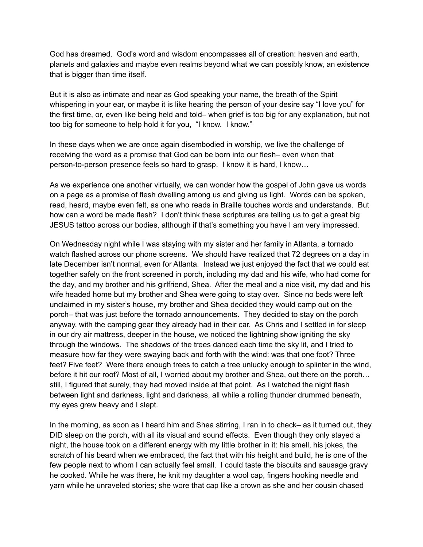God has dreamed. God's word and wisdom encompasses all of creation: heaven and earth, planets and galaxies and maybe even realms beyond what we can possibly know, an existence that is bigger than time itself.

But it is also as intimate and near as God speaking your name, the breath of the Spirit whispering in your ear, or maybe it is like hearing the person of your desire say "I love you" for the first time, or, even like being held and told– when grief is too big for any explanation, but not too big for someone to help hold it for you, "I know. I know."

In these days when we are once again disembodied in worship, we live the challenge of receiving the word as a promise that God can be born into our flesh– even when that person-to-person presence feels so hard to grasp. I know it is hard, I know…

As we experience one another virtually, we can wonder how the gospel of John gave us words on a page as a promise of flesh dwelling among us and giving us light. Words can be spoken, read, heard, maybe even felt, as one who reads in Braille touches words and understands. But how can a word be made flesh? I don't think these scriptures are telling us to get a great big JESUS tattoo across our bodies, although if that's something you have I am very impressed.

On Wednesday night while I was staying with my sister and her family in Atlanta, a tornado watch flashed across our phone screens. We should have realized that 72 degrees on a day in late December isn't normal, even for Atlanta. Instead we just enjoyed the fact that we could eat together safely on the front screened in porch, including my dad and his wife, who had come for the day, and my brother and his girlfriend, Shea. After the meal and a nice visit, my dad and his wife headed home but my brother and Shea were going to stay over. Since no beds were left unclaimed in my sister's house, my brother and Shea decided they would camp out on the porch– that was just before the tornado announcements. They decided to stay on the porch anyway, with the camping gear they already had in their car. As Chris and I settled in for sleep in our dry air mattress, deeper in the house, we noticed the lightning show igniting the sky through the windows. The shadows of the trees danced each time the sky lit, and I tried to measure how far they were swaying back and forth with the wind: was that one foot? Three feet? Five feet? Were there enough trees to catch a tree unlucky enough to splinter in the wind, before it hit our roof? Most of all, I worried about my brother and Shea, out there on the porch… still, I figured that surely, they had moved inside at that point. As I watched the night flash between light and darkness, light and darkness, all while a rolling thunder drummed beneath, my eyes grew heavy and I slept.

In the morning, as soon as I heard him and Shea stirring, I ran in to check– as it turned out, they DID sleep on the porch, with all its visual and sound effects. Even though they only stayed a night, the house took on a different energy with my little brother in it: his smell, his jokes, the scratch of his beard when we embraced, the fact that with his height and build, he is one of the few people next to whom I can actually feel small. I could taste the biscuits and sausage gravy he cooked. While he was there, he knit my daughter a wool cap, fingers hooking needle and yarn while he unraveled stories; she wore that cap like a crown as she and her cousin chased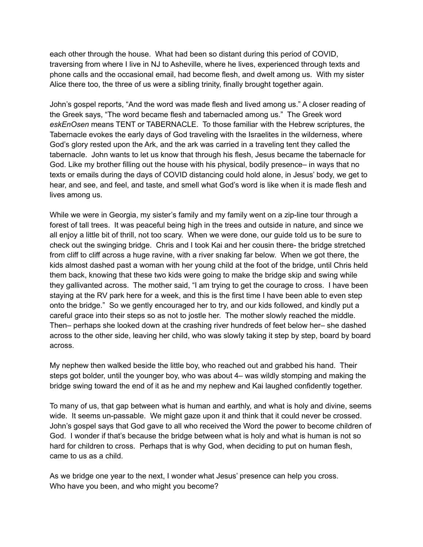each other through the house. What had been so distant during this period of COVID, traversing from where I live in NJ to Asheville, where he lives, experienced through texts and phone calls and the occasional email, had become flesh, and dwelt among us. With my sister Alice there too, the three of us were a sibling trinity, finally brought together again.

John's gospel reports, "And the word was made flesh and lived among us." A closer reading of the Greek says, "The word became flesh and tabernacled among us." The Greek word *eskEnOsen* means TENT or TABERNACLE. To those familiar with the Hebrew scriptures, the Tabernacle evokes the early days of God traveling with the Israelites in the wilderness, where God's glory rested upon the Ark, and the ark was carried in a traveling tent they called the tabernacle. John wants to let us know that through his flesh, Jesus became the tabernacle for God. Like my brother filling out the house with his physical, bodily presence– in ways that no texts or emails during the days of COVID distancing could hold alone, in Jesus' body, we get to hear, and see, and feel, and taste, and smell what God's word is like when it is made flesh and lives among us.

While we were in Georgia, my sister's family and my family went on a zip-line tour through a forest of tall trees. It was peaceful being high in the trees and outside in nature, and since we all enjoy a little bit of thrill, not too scary. When we were done, our guide told us to be sure to check out the swinging bridge. Chris and I took Kai and her cousin there- the bridge stretched from cliff to cliff across a huge ravine, with a river snaking far below. When we got there, the kids almost dashed past a woman with her young child at the foot of the bridge, until Chris held them back, knowing that these two kids were going to make the bridge skip and swing while they gallivanted across. The mother said, "I am trying to get the courage to cross. I have been staying at the RV park here for a week, and this is the first time I have been able to even step onto the bridge." So we gently encouraged her to try, and our kids followed, and kindly put a careful grace into their steps so as not to jostle her. The mother slowly reached the middle. Then– perhaps she looked down at the crashing river hundreds of feet below her– she dashed across to the other side, leaving her child, who was slowly taking it step by step, board by board across.

My nephew then walked beside the little boy, who reached out and grabbed his hand. Their steps got bolder, until the younger boy, who was about 4– was wildly stomping and making the bridge swing toward the end of it as he and my nephew and Kai laughed confidently together.

To many of us, that gap between what is human and earthly, and what is holy and divine, seems wide. It seems un-passable. We might gaze upon it and think that it could never be crossed. John's gospel says that God gave to all who received the Word the power to become children of God. I wonder if that's because the bridge between what is holy and what is human is not so hard for children to cross. Perhaps that is why God, when deciding to put on human flesh, came to us as a child.

As we bridge one year to the next, I wonder what Jesus' presence can help you cross. Who have you been, and who might you become?